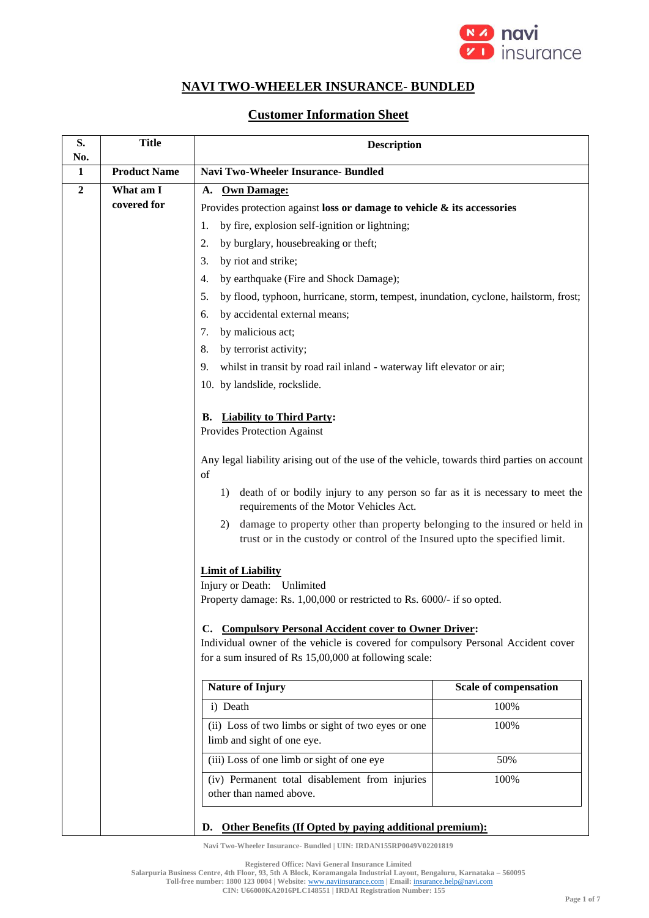

# **NAVI TWO-WHEELER INSURANCE- BUNDLED**

## **Customer Information Sheet**

| S.<br>No.      | <b>Title</b>        | <b>Description</b>                                                                                                                                                                                                                                                                                                                                                                                                                                                                                                                                                                                                |                       |
|----------------|---------------------|-------------------------------------------------------------------------------------------------------------------------------------------------------------------------------------------------------------------------------------------------------------------------------------------------------------------------------------------------------------------------------------------------------------------------------------------------------------------------------------------------------------------------------------------------------------------------------------------------------------------|-----------------------|
| 1              | <b>Product Name</b> | <b>Navi Two-Wheeler Insurance-Bundled</b>                                                                                                                                                                                                                                                                                                                                                                                                                                                                                                                                                                         |                       |
| $\overline{2}$ | What am I           | <b>Own Damage:</b><br><b>A.</b>                                                                                                                                                                                                                                                                                                                                                                                                                                                                                                                                                                                   |                       |
|                | covered for         | Provides protection against loss or damage to vehicle $\&$ its accessories                                                                                                                                                                                                                                                                                                                                                                                                                                                                                                                                        |                       |
|                |                     | by fire, explosion self-ignition or lightning;<br>1.                                                                                                                                                                                                                                                                                                                                                                                                                                                                                                                                                              |                       |
|                |                     | by burglary, housebreaking or theft;<br>2.                                                                                                                                                                                                                                                                                                                                                                                                                                                                                                                                                                        |                       |
|                |                     | 3.<br>by riot and strike;                                                                                                                                                                                                                                                                                                                                                                                                                                                                                                                                                                                         |                       |
|                |                     | 4.<br>by earthquake (Fire and Shock Damage);                                                                                                                                                                                                                                                                                                                                                                                                                                                                                                                                                                      |                       |
|                |                     | by flood, typhoon, hurricane, storm, tempest, inundation, cyclone, hailstorm, frost;<br>5.                                                                                                                                                                                                                                                                                                                                                                                                                                                                                                                        |                       |
|                |                     | by accidental external means;<br>6.                                                                                                                                                                                                                                                                                                                                                                                                                                                                                                                                                                               |                       |
|                |                     | 7.<br>by malicious act;                                                                                                                                                                                                                                                                                                                                                                                                                                                                                                                                                                                           |                       |
|                |                     | by terrorist activity;<br>8.                                                                                                                                                                                                                                                                                                                                                                                                                                                                                                                                                                                      |                       |
|                |                     | 9.<br>whilst in transit by road rail inland - waterway lift elevator or air;                                                                                                                                                                                                                                                                                                                                                                                                                                                                                                                                      |                       |
|                |                     | 10. by landslide, rockslide.                                                                                                                                                                                                                                                                                                                                                                                                                                                                                                                                                                                      |                       |
|                |                     | <b>B.</b> Liability to Third Party:<br>Provides Protection Against<br>Any legal liability arising out of the use of the vehicle, towards third parties on account<br>of<br>death of or bodily injury to any person so far as it is necessary to meet the<br>1)<br>requirements of the Motor Vehicles Act.<br>damage to property other than property belonging to the insured or held in<br>2)<br>trust or in the custody or control of the Insured upto the specified limit.<br><b>Limit of Liability</b><br>Injury or Death: Unlimited<br>Property damage: Rs. 1,00,000 or restricted to Rs. 6000/- if so opted. |                       |
|                |                     |                                                                                                                                                                                                                                                                                                                                                                                                                                                                                                                                                                                                                   |                       |
|                |                     | C. Compulsory Personal Accident cover to Owner Driver:<br>Individual owner of the vehicle is covered for compulsory Personal Accident cover                                                                                                                                                                                                                                                                                                                                                                                                                                                                       |                       |
|                |                     | for a sum insured of Rs 15,00,000 at following scale:                                                                                                                                                                                                                                                                                                                                                                                                                                                                                                                                                             |                       |
|                |                     | <b>Nature of Injury</b>                                                                                                                                                                                                                                                                                                                                                                                                                                                                                                                                                                                           | Scale of compensation |
|                |                     | i) Death                                                                                                                                                                                                                                                                                                                                                                                                                                                                                                                                                                                                          | 100%                  |
|                |                     | (ii) Loss of two limbs or sight of two eyes or one<br>limb and sight of one eye.                                                                                                                                                                                                                                                                                                                                                                                                                                                                                                                                  | 100%                  |
|                |                     | (iii) Loss of one limb or sight of one eye                                                                                                                                                                                                                                                                                                                                                                                                                                                                                                                                                                        | 50%                   |
|                |                     | (iv) Permanent total disablement from injuries<br>other than named above.                                                                                                                                                                                                                                                                                                                                                                                                                                                                                                                                         | 100%                  |
|                |                     | D. Other Benefits (If Opted by paying additional premium):                                                                                                                                                                                                                                                                                                                                                                                                                                                                                                                                                        |                       |

**Navi Two-Wheeler Insurance- Bundled | UIN: IRDAN155RP0049V02201819**

**Registered Office: Navi General Insurance Limited**

**Salarpuria Business Centre, 4th Floor, 93, 5th A Block, Koramangala Industrial Layout, Bengaluru, Karnataka – 560095**

**Toll-free number: 1800 123 0004 | Website:** [www.naviinsurance.com](http://www.naviinsurance.com/) **| Email:** [insurance.help@navi.com](mailto:insurance.help@navi.com) **CIN: U66000KA2016PLC148551 | IRDAI Registration Number: 155**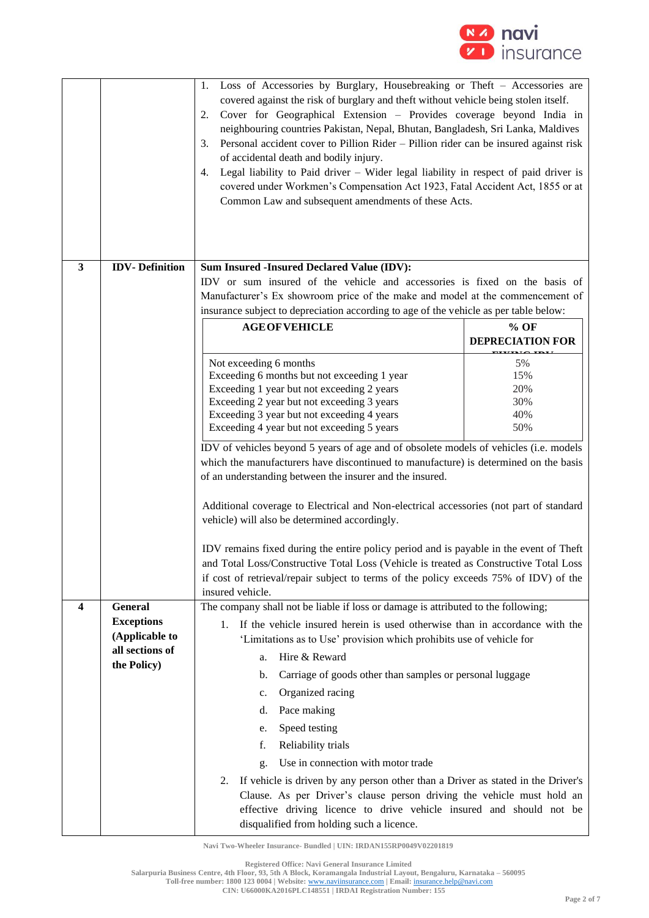

|   |                                     | Loss of Accessories by Burglary, Housebreaking or Theft - Accessories are<br>1.<br>covered against the risk of burglary and theft without vehicle being stolen itself.<br>Cover for Geographical Extension - Provides coverage beyond India in<br>2.<br>neighbouring countries Pakistan, Nepal, Bhutan, Bangladesh, Sri Lanka, Maldives<br>Personal accident cover to Pillion Rider - Pillion rider can be insured against risk<br>3.<br>of accidental death and bodily injury.<br>Legal liability to Paid driver - Wider legal liability in respect of paid driver is<br>4.<br>covered under Workmen's Compensation Act 1923, Fatal Accident Act, 1855 or at<br>Common Law and subsequent amendments of these Acts. |                         |
|---|-------------------------------------|----------------------------------------------------------------------------------------------------------------------------------------------------------------------------------------------------------------------------------------------------------------------------------------------------------------------------------------------------------------------------------------------------------------------------------------------------------------------------------------------------------------------------------------------------------------------------------------------------------------------------------------------------------------------------------------------------------------------|-------------------------|
| 3 | <b>IDV-Definition</b>               | Sum Insured -Insured Declared Value (IDV):                                                                                                                                                                                                                                                                                                                                                                                                                                                                                                                                                                                                                                                                           |                         |
|   |                                     | IDV or sum insured of the vehicle and accessories is fixed on the basis of                                                                                                                                                                                                                                                                                                                                                                                                                                                                                                                                                                                                                                           |                         |
|   |                                     | Manufacturer's Ex showroom price of the make and model at the commencement of                                                                                                                                                                                                                                                                                                                                                                                                                                                                                                                                                                                                                                        |                         |
|   |                                     | insurance subject to depreciation according to age of the vehicle as per table below:<br><b>AGE OF VEHICLE</b>                                                                                                                                                                                                                                                                                                                                                                                                                                                                                                                                                                                                       | $%$ OF                  |
|   |                                     |                                                                                                                                                                                                                                                                                                                                                                                                                                                                                                                                                                                                                                                                                                                      | <b>DEPRECIATION FOR</b> |
|   |                                     |                                                                                                                                                                                                                                                                                                                                                                                                                                                                                                                                                                                                                                                                                                                      |                         |
|   |                                     | Not exceeding 6 months<br>Exceeding 6 months but not exceeding 1 year                                                                                                                                                                                                                                                                                                                                                                                                                                                                                                                                                                                                                                                | 5%<br>15%               |
|   |                                     | Exceeding 1 year but not exceeding 2 years                                                                                                                                                                                                                                                                                                                                                                                                                                                                                                                                                                                                                                                                           | 20%                     |
|   |                                     | Exceeding 2 year but not exceeding 3 years                                                                                                                                                                                                                                                                                                                                                                                                                                                                                                                                                                                                                                                                           | 30%                     |
|   |                                     | Exceeding 3 year but not exceeding 4 years                                                                                                                                                                                                                                                                                                                                                                                                                                                                                                                                                                                                                                                                           | 40%<br>50%              |
|   |                                     | Exceeding 4 year but not exceeding 5 years                                                                                                                                                                                                                                                                                                                                                                                                                                                                                                                                                                                                                                                                           |                         |
|   |                                     | IDV of vehicles beyond 5 years of age and of obsolete models of vehicles (i.e. models                                                                                                                                                                                                                                                                                                                                                                                                                                                                                                                                                                                                                                |                         |
|   |                                     | which the manufacturers have discontinued to manufacture) is determined on the basis<br>of an understanding between the insurer and the insured.                                                                                                                                                                                                                                                                                                                                                                                                                                                                                                                                                                     |                         |
|   |                                     |                                                                                                                                                                                                                                                                                                                                                                                                                                                                                                                                                                                                                                                                                                                      |                         |
|   |                                     | Additional coverage to Electrical and Non-electrical accessories (not part of standard<br>vehicle) will also be determined accordingly.                                                                                                                                                                                                                                                                                                                                                                                                                                                                                                                                                                              |                         |
|   |                                     | IDV remains fixed during the entire policy period and is payable in the event of Theft<br>and Total Loss/Constructive Total Loss (Vehicle is treated as Constructive Total Loss                                                                                                                                                                                                                                                                                                                                                                                                                                                                                                                                      |                         |
|   |                                     | if cost of retrieval/repair subject to terms of the policy exceeds 75% of IDV) of the                                                                                                                                                                                                                                                                                                                                                                                                                                                                                                                                                                                                                                |                         |
|   |                                     | insured vehicle.                                                                                                                                                                                                                                                                                                                                                                                                                                                                                                                                                                                                                                                                                                     |                         |
| 4 | General                             | The company shall not be liable if loss or damage is attributed to the following;                                                                                                                                                                                                                                                                                                                                                                                                                                                                                                                                                                                                                                    |                         |
|   | <b>Exceptions</b><br>(Applicable to | If the vehicle insured herein is used otherwise than in accordance with the<br>1.                                                                                                                                                                                                                                                                                                                                                                                                                                                                                                                                                                                                                                    |                         |
|   | all sections of                     | 'Limitations as to Use' provision which prohibits use of vehicle for                                                                                                                                                                                                                                                                                                                                                                                                                                                                                                                                                                                                                                                 |                         |
|   | the Policy)                         | Hire & Reward<br>a.                                                                                                                                                                                                                                                                                                                                                                                                                                                                                                                                                                                                                                                                                                  |                         |
|   |                                     | Carriage of goods other than samples or personal luggage<br>b.                                                                                                                                                                                                                                                                                                                                                                                                                                                                                                                                                                                                                                                       |                         |
|   |                                     | Organized racing<br>c.                                                                                                                                                                                                                                                                                                                                                                                                                                                                                                                                                                                                                                                                                               |                         |
|   |                                     | Pace making<br>d.                                                                                                                                                                                                                                                                                                                                                                                                                                                                                                                                                                                                                                                                                                    |                         |
|   |                                     | Speed testing<br>e.                                                                                                                                                                                                                                                                                                                                                                                                                                                                                                                                                                                                                                                                                                  |                         |
|   |                                     | f.<br>Reliability trials                                                                                                                                                                                                                                                                                                                                                                                                                                                                                                                                                                                                                                                                                             |                         |
|   |                                     | Use in connection with motor trade<br>g.                                                                                                                                                                                                                                                                                                                                                                                                                                                                                                                                                                                                                                                                             |                         |
|   |                                     | If vehicle is driven by any person other than a Driver as stated in the Driver's<br>2.<br>Clause. As per Driver's clause person driving the vehicle must hold an<br>effective driving licence to drive vehicle insured and should not be<br>disqualified from holding such a licence.                                                                                                                                                                                                                                                                                                                                                                                                                                |                         |

**Registered Office: Navi General Insurance Limited**

**Salarpuria Business Centre, 4th Floor, 93, 5th A Block, Koramangala Industrial Layout, Bengaluru, Karnataka – 560095**

**Toll-free number: 1800 123 0004 | Website:** [www.naviinsurance.com](http://www.naviinsurance.com/) **| Email:** [insurance.help@navi.com](mailto:insurance.help@navi.com)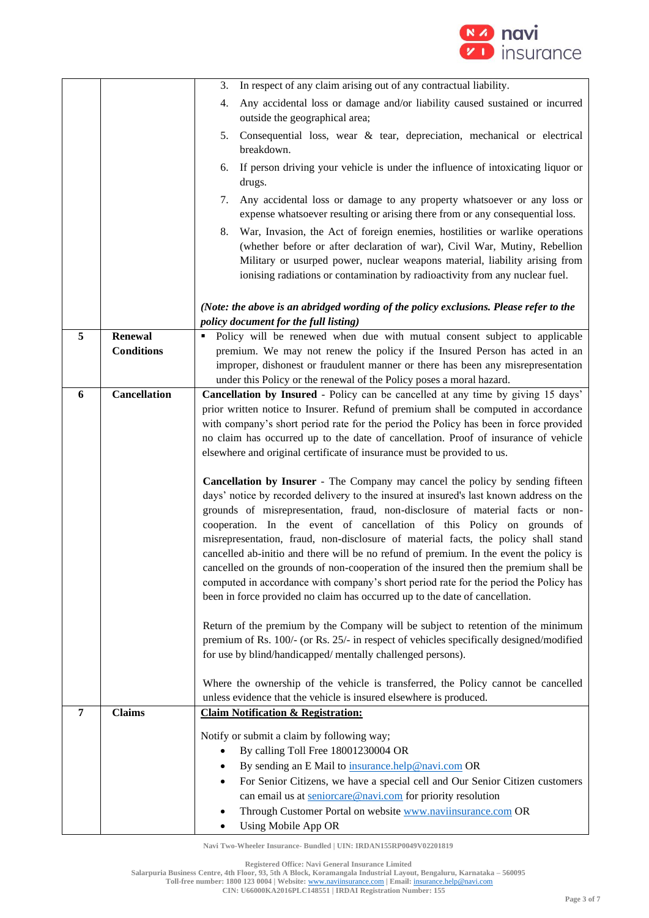

|   |                     | In respect of any claim arising out of any contractual liability.<br>3.                                                                                        |
|---|---------------------|----------------------------------------------------------------------------------------------------------------------------------------------------------------|
|   |                     | Any accidental loss or damage and/or liability caused sustained or incurred<br>4.                                                                              |
|   |                     | outside the geographical area;                                                                                                                                 |
|   |                     | Consequential loss, wear & tear, depreciation, mechanical or electrical<br>5.                                                                                  |
|   |                     | breakdown.                                                                                                                                                     |
|   |                     | If person driving your vehicle is under the influence of intoxicating liquor or<br>6.                                                                          |
|   |                     | drugs.                                                                                                                                                         |
|   |                     | Any accidental loss or damage to any property whatsoever or any loss or<br>7.                                                                                  |
|   |                     | expense whatsoever resulting or arising there from or any consequential loss.                                                                                  |
|   |                     | War, Invasion, the Act of foreign enemies, hostilities or warlike operations<br>8.                                                                             |
|   |                     | (whether before or after declaration of war), Civil War, Mutiny, Rebellion                                                                                     |
|   |                     | Military or usurped power, nuclear weapons material, liability arising from                                                                                    |
|   |                     | ionising radiations or contamination by radioactivity from any nuclear fuel.                                                                                   |
|   |                     |                                                                                                                                                                |
|   |                     | (Note: the above is an abridged wording of the policy exclusions. Please refer to the<br>policy document for the full listing)                                 |
| 5 | <b>Renewal</b>      | • Policy will be renewed when due with mutual consent subject to applicable                                                                                    |
|   | <b>Conditions</b>   | premium. We may not renew the policy if the Insured Person has acted in an                                                                                     |
|   |                     | improper, dishonest or fraudulent manner or there has been any misrepresentation                                                                               |
|   |                     | under this Policy or the renewal of the Policy poses a moral hazard.                                                                                           |
| 6 | <b>Cancellation</b> | Cancellation by Insured - Policy can be cancelled at any time by giving 15 days'                                                                               |
|   |                     | prior written notice to Insurer. Refund of premium shall be computed in accordance                                                                             |
|   |                     | with company's short period rate for the period the Policy has been in force provided                                                                          |
|   |                     | no claim has occurred up to the date of cancellation. Proof of insurance of vehicle<br>elsewhere and original certificate of insurance must be provided to us. |
|   |                     |                                                                                                                                                                |
|   |                     | Cancellation by Insurer - The Company may cancel the policy by sending fifteen                                                                                 |
|   |                     | days' notice by recorded delivery to the insured at insured's last known address on the                                                                        |
|   |                     | grounds of misrepresentation, fraud, non-disclosure of material facts or non-                                                                                  |
|   |                     | cooperation. In the event of cancellation of this Policy on grounds of                                                                                         |
|   |                     | misrepresentation, fraud, non-disclosure of material facts, the policy shall stand                                                                             |
|   |                     | cancelled ab-initio and there will be no refund of premium. In the event the policy is                                                                         |
|   |                     | cancelled on the grounds of non-cooperation of the insured then the premium shall be                                                                           |
|   |                     | computed in accordance with company's short period rate for the period the Policy has                                                                          |
|   |                     | been in force provided no claim has occurred up to the date of cancellation.                                                                                   |
|   |                     | Return of the premium by the Company will be subject to retention of the minimum                                                                               |
|   |                     | premium of Rs. 100/- (or Rs. 25/- in respect of vehicles specifically designed/modified                                                                        |
|   |                     | for use by blind/handicapped/ mentally challenged persons).                                                                                                    |
|   |                     | Where the ownership of the vehicle is transferred, the Policy cannot be cancelled                                                                              |
|   |                     | unless evidence that the vehicle is insured elsewhere is produced.                                                                                             |
| 7 | <b>Claims</b>       | <b>Claim Notification &amp; Registration:</b>                                                                                                                  |
|   |                     |                                                                                                                                                                |
|   |                     | Notify or submit a claim by following way;                                                                                                                     |
|   |                     | By calling Toll Free 18001230004 OR                                                                                                                            |
|   |                     | By sending an E Mail to insurance.help@navi.com OR<br>For Senior Citizens, we have a special cell and Our Senior Citizen customers                             |
|   |                     | can email us at seniorcare@navi.com for priority resolution                                                                                                    |
|   |                     | Through Customer Portal on website <b>WWW.naviinsurance.com</b> OR                                                                                             |
|   |                     | Using Mobile App OR                                                                                                                                            |

**Registered Office: Navi General Insurance Limited**

**Salarpuria Business Centre, 4th Floor, 93, 5th A Block, Koramangala Industrial Layout, Bengaluru, Karnataka – 560095**

**Toll-free number: 1800 123 0004 | Website:** [www.naviinsurance.com](http://www.naviinsurance.com/) **| Email:** [insurance.help@navi.com](mailto:insurance.help@navi.com) **CIN: U66000KA2016PLC148551 | IRDAI Registration Number: 155**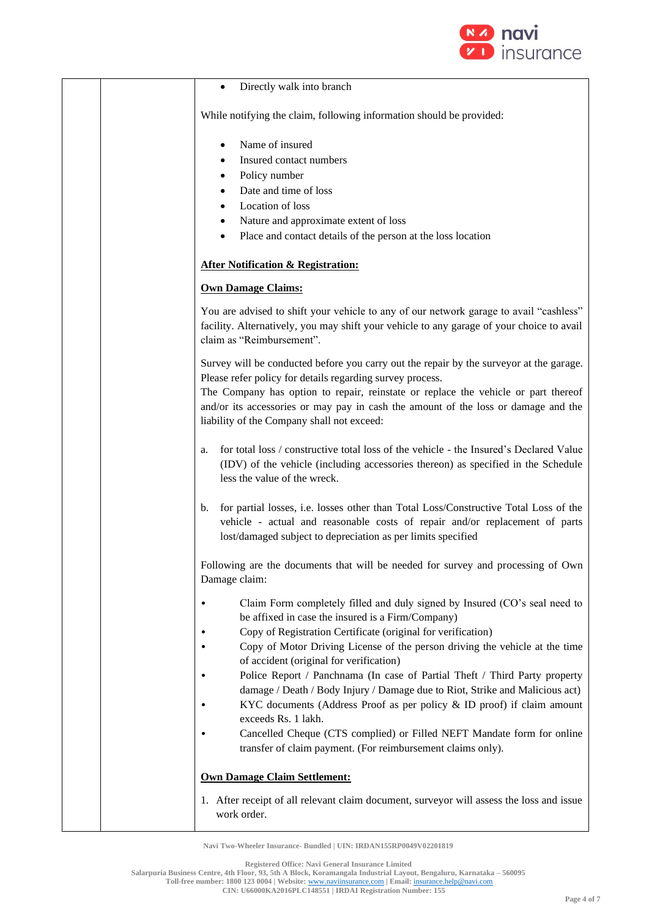

#### • Directly walk into branch

While notifying the claim, following information should be provided:

- Name of insured
- Insured contact numbers
- Policy number
- Date and time of loss
- Location of loss
- Nature and approximate extent of loss
- Place and contact details of the person at the loss location

### **After Notification & Registration:**

### **Own Damage Claims:**

You are advised to shift your vehicle to any of our network garage to avail "cashless" facility. Alternatively, you may shift your vehicle to any garage of your choice to avail claim as "Reimbursement".

Survey will be conducted before you carry out the repair by the surveyor at the garage. Please refer policy for details regarding survey process.

The Company has option to repair, reinstate or replace the vehicle or part thereof and/or its accessories or may pay in cash the amount of the loss or damage and the liability of the Company shall not exceed:

- a. for total loss / constructive total loss of the vehicle the Insured's Declared Value (IDV) of the vehicle (including accessories thereon) as specified in the Schedule less the value of the wreck.
- b. for partial losses, i.e. losses other than Total Loss/Constructive Total Loss of the vehicle - actual and reasonable costs of repair and/or replacement of parts lost/damaged subject to depreciation as per limits specified

Following are the documents that will be needed for survey and processing of Own Damage claim:

- Claim Form completely filled and duly signed by Insured (CO's seal need to be affixed in case the insured is a Firm/Company)
- Copy of Registration Certificate (original for verification)
- Copy of Motor Driving License of the person driving the vehicle at the time of accident (original for verification)
- Police Report / Panchnama (In case of Partial Theft / Third Party property damage / Death / Body Injury / Damage due to Riot, Strike and Malicious act)
- KYC documents (Address Proof as per policy & ID proof) if claim amount exceeds Rs. 1 lakh.
- Cancelled Cheque (CTS complied) or Filled NEFT Mandate form for online transfer of claim payment. (For reimbursement claims only).

### **Own Damage Claim Settlement:**

1. After receipt of all relevant claim document, surveyor will assess the loss and issue work order.

**Navi Two-Wheeler Insurance- Bundled | UIN: IRDAN155RP0049V02201819**

**Registered Office: Navi General Insurance Limited**

**Salarpuria Business Centre, 4th Floor, 93, 5th A Block, Koramangala Industrial Layout, Bengaluru, Karnataka – 560095 Toll-free number: 1800 123 0004 | Website:** [www.naviinsurance.com](http://www.naviinsurance.com/) **| Email:** [insurance.help@navi.com](mailto:insurance.help@navi.com)

**CIN: U66000KA2016PLC148551 | IRDAI Registration Number: 155**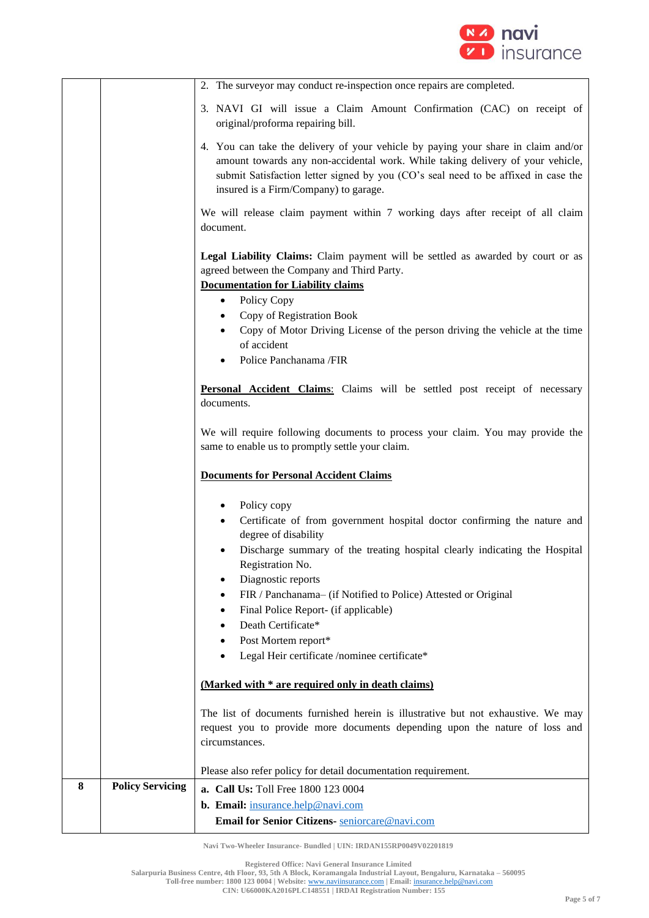

|   |                         | 2. The surveyor may conduct re-inspection once repairs are completed.                                                                                                                                                                                                                              |
|---|-------------------------|----------------------------------------------------------------------------------------------------------------------------------------------------------------------------------------------------------------------------------------------------------------------------------------------------|
|   |                         | 3. NAVI GI will issue a Claim Amount Confirmation (CAC) on receipt of<br>original/proforma repairing bill.                                                                                                                                                                                         |
|   |                         | 4. You can take the delivery of your vehicle by paying your share in claim and/or<br>amount towards any non-accidental work. While taking delivery of your vehicle,<br>submit Satisfaction letter signed by you (CO's seal need to be affixed in case the<br>insured is a Firm/Company) to garage. |
|   |                         | We will release claim payment within 7 working days after receipt of all claim<br>document.                                                                                                                                                                                                        |
|   |                         | Legal Liability Claims: Claim payment will be settled as awarded by court or as<br>agreed between the Company and Third Party.<br><b>Documentation for Liability claims</b>                                                                                                                        |
|   |                         | Policy Copy<br>$\bullet$                                                                                                                                                                                                                                                                           |
|   |                         | Copy of Registration Book<br>Copy of Motor Driving License of the person driving the vehicle at the time<br>of accident                                                                                                                                                                            |
|   |                         | Police Panchanama /FIR                                                                                                                                                                                                                                                                             |
|   |                         | Personal Accident Claims: Claims will be settled post receipt of necessary<br>documents.                                                                                                                                                                                                           |
|   |                         | We will require following documents to process your claim. You may provide the<br>same to enable us to promptly settle your claim.                                                                                                                                                                 |
|   |                         | <b>Documents for Personal Accident Claims</b>                                                                                                                                                                                                                                                      |
|   |                         | Policy copy                                                                                                                                                                                                                                                                                        |
|   |                         | Certificate of from government hospital doctor confirming the nature and<br>degree of disability                                                                                                                                                                                                   |
|   |                         | Discharge summary of the treating hospital clearly indicating the Hospital<br>Registration No.                                                                                                                                                                                                     |
|   |                         | Diagnostic reports                                                                                                                                                                                                                                                                                 |
|   |                         | FIR / Panchanama- (if Notified to Police) Attested or Original<br>Final Police Report- (if applicable)                                                                                                                                                                                             |
|   |                         | Death Certificate*                                                                                                                                                                                                                                                                                 |
|   |                         | Post Mortem report*                                                                                                                                                                                                                                                                                |
|   |                         | Legal Heir certificate /nominee certificate*                                                                                                                                                                                                                                                       |
|   |                         | (Marked with * are required only in death claims)                                                                                                                                                                                                                                                  |
|   |                         | The list of documents furnished herein is illustrative but not exhaustive. We may<br>request you to provide more documents depending upon the nature of loss and                                                                                                                                   |
|   |                         | circumstances.                                                                                                                                                                                                                                                                                     |
|   |                         | Please also refer policy for detail documentation requirement.                                                                                                                                                                                                                                     |
| 8 | <b>Policy Servicing</b> | a. Call Us: Toll Free 1800 123 0004                                                                                                                                                                                                                                                                |
|   |                         | b. Email: insurance.help@navi.com                                                                                                                                                                                                                                                                  |
|   |                         | Email for Senior Citizens- seniorcare@navi.com                                                                                                                                                                                                                                                     |

**Registered Office: Navi General Insurance Limited**

**Salarpuria Business Centre, 4th Floor, 93, 5th A Block, Koramangala Industrial Layout, Bengaluru, Karnataka – 560095**

**Toll-free number: 1800 123 0004 | Website:** [www.naviinsurance.com](http://www.naviinsurance.com/) **| Email:** [insurance.help@navi.com](mailto:insurance.help@navi.com)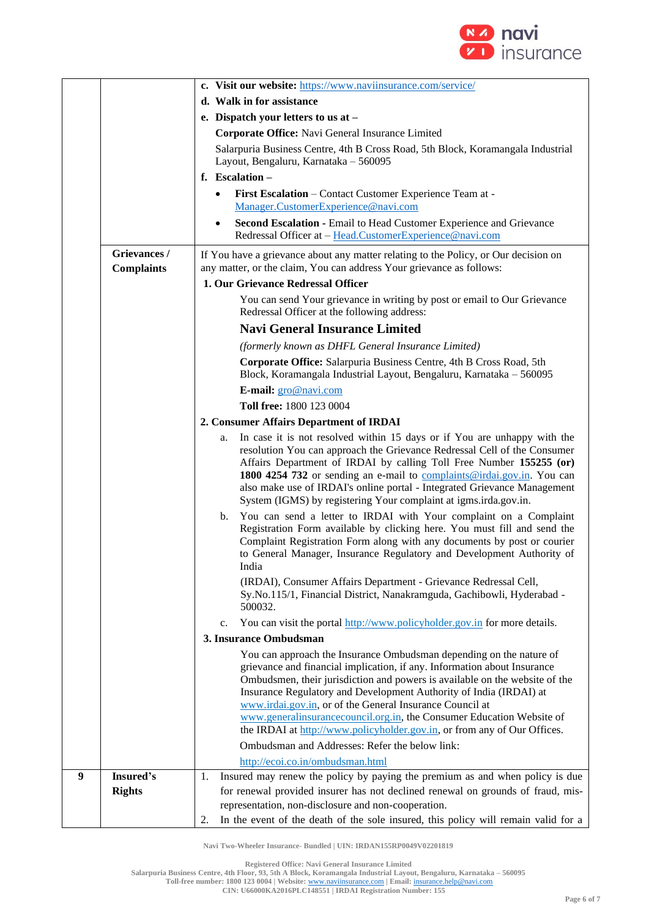

|                  |                                   | c. Visit our website: https://www.naviinsurance.com/service/                                                                                                                                                                                                                                                                                                                                                                                                                                                                                  |
|------------------|-----------------------------------|-----------------------------------------------------------------------------------------------------------------------------------------------------------------------------------------------------------------------------------------------------------------------------------------------------------------------------------------------------------------------------------------------------------------------------------------------------------------------------------------------------------------------------------------------|
|                  |                                   | d. Walk in for assistance                                                                                                                                                                                                                                                                                                                                                                                                                                                                                                                     |
|                  |                                   | e. Dispatch your letters to us at -                                                                                                                                                                                                                                                                                                                                                                                                                                                                                                           |
|                  |                                   | Corporate Office: Navi General Insurance Limited                                                                                                                                                                                                                                                                                                                                                                                                                                                                                              |
|                  |                                   | Salarpuria Business Centre, 4th B Cross Road, 5th Block, Koramangala Industrial                                                                                                                                                                                                                                                                                                                                                                                                                                                               |
|                  |                                   | Layout, Bengaluru, Karnataka - 560095                                                                                                                                                                                                                                                                                                                                                                                                                                                                                                         |
|                  |                                   | f. Escalation -                                                                                                                                                                                                                                                                                                                                                                                                                                                                                                                               |
|                  |                                   | First Escalation - Contact Customer Experience Team at -<br>$\bullet$                                                                                                                                                                                                                                                                                                                                                                                                                                                                         |
|                  |                                   | Manager.CustomerExperience@navi.com                                                                                                                                                                                                                                                                                                                                                                                                                                                                                                           |
|                  |                                   | Second Escalation - Email to Head Customer Experience and Grievance<br>$\bullet$<br>Redressal Officer at - Head.CustomerExperience@navi.com                                                                                                                                                                                                                                                                                                                                                                                                   |
|                  | Grievances /<br><b>Complaints</b> | If You have a grievance about any matter relating to the Policy, or Our decision on<br>any matter, or the claim, You can address Your grievance as follows:                                                                                                                                                                                                                                                                                                                                                                                   |
|                  |                                   | 1. Our Grievance Redressal Officer                                                                                                                                                                                                                                                                                                                                                                                                                                                                                                            |
|                  |                                   | You can send Your grievance in writing by post or email to Our Grievance<br>Redressal Officer at the following address:                                                                                                                                                                                                                                                                                                                                                                                                                       |
|                  |                                   | <b>Navi General Insurance Limited</b>                                                                                                                                                                                                                                                                                                                                                                                                                                                                                                         |
|                  |                                   | (formerly known as DHFL General Insurance Limited)                                                                                                                                                                                                                                                                                                                                                                                                                                                                                            |
|                  |                                   | Corporate Office: Salarpuria Business Centre, 4th B Cross Road, 5th<br>Block, Koramangala Industrial Layout, Bengaluru, Karnataka - 560095                                                                                                                                                                                                                                                                                                                                                                                                    |
|                  |                                   | E-mail: gro@navi.com                                                                                                                                                                                                                                                                                                                                                                                                                                                                                                                          |
|                  |                                   | Toll free: 1800 123 0004                                                                                                                                                                                                                                                                                                                                                                                                                                                                                                                      |
|                  |                                   | 2. Consumer Affairs Department of IRDAI                                                                                                                                                                                                                                                                                                                                                                                                                                                                                                       |
|                  |                                   | In case it is not resolved within 15 days or if You are unhappy with the<br>a.<br>resolution You can approach the Grievance Redressal Cell of the Consumer<br>Affairs Department of IRDAI by calling Toll Free Number 155255 (or)<br>1800 4254 732 or sending an e-mail to complaints@irdai.gov.in. You can<br>also make use of IRDAI's online portal - Integrated Grievance Management                                                                                                                                                       |
|                  |                                   | System (IGMS) by registering Your complaint at igms.irda.gov.in.<br>You can send a letter to IRDAI with Your complaint on a Complaint<br>b.<br>Registration Form available by clicking here. You must fill and send the<br>Complaint Registration Form along with any documents by post or courier<br>to General Manager, Insurance Regulatory and Development Authority of<br>India<br>(IRDAI), Consumer Affairs Department - Grievance Redressal Cell,<br>Sy.No.115/1, Financial District, Nanakramguda, Gachibowli, Hyderabad -<br>500032. |
|                  |                                   | You can visit the portal http://www.policyholder.gov.in for more details.<br>$c_{\cdot}$                                                                                                                                                                                                                                                                                                                                                                                                                                                      |
|                  |                                   | 3. Insurance Ombudsman                                                                                                                                                                                                                                                                                                                                                                                                                                                                                                                        |
|                  |                                   | You can approach the Insurance Ombudsman depending on the nature of<br>grievance and financial implication, if any. Information about Insurance<br>Ombudsmen, their jurisdiction and powers is available on the website of the<br>Insurance Regulatory and Development Authority of India (IRDAI) at<br>www.irdai.gov.in, or of the General Insurance Council at<br>www.generalinsurancecouncil.org.in, the Consumer Education Website of<br>the IRDAI at http://www.policyholder.gov.in, or from any of Our Offices.                         |
|                  |                                   | Ombudsman and Addresses: Refer the below link:                                                                                                                                                                                                                                                                                                                                                                                                                                                                                                |
|                  |                                   | http://ecoi.co.in/ombudsman.html                                                                                                                                                                                                                                                                                                                                                                                                                                                                                                              |
| $\boldsymbol{9}$ | Insured's                         | Insured may renew the policy by paying the premium as and when policy is due<br>1.                                                                                                                                                                                                                                                                                                                                                                                                                                                            |
|                  | <b>Rights</b>                     | for renewal provided insurer has not declined renewal on grounds of fraud, mis-<br>representation, non-disclosure and non-cooperation.                                                                                                                                                                                                                                                                                                                                                                                                        |
|                  |                                   | In the event of the death of the sole insured, this policy will remain valid for a<br>2.                                                                                                                                                                                                                                                                                                                                                                                                                                                      |

**Registered Office: Navi General Insurance Limited**

**Salarpuria Business Centre, 4th Floor, 93, 5th A Block, Koramangala Industrial Layout, Bengaluru, Karnataka – 560095**

**Toll-free number: 1800 123 0004 | Website:** [www.naviinsurance.com](http://www.naviinsurance.com/) **| Email:** [insurance.help@navi.com](mailto:insurance.help@navi.com)